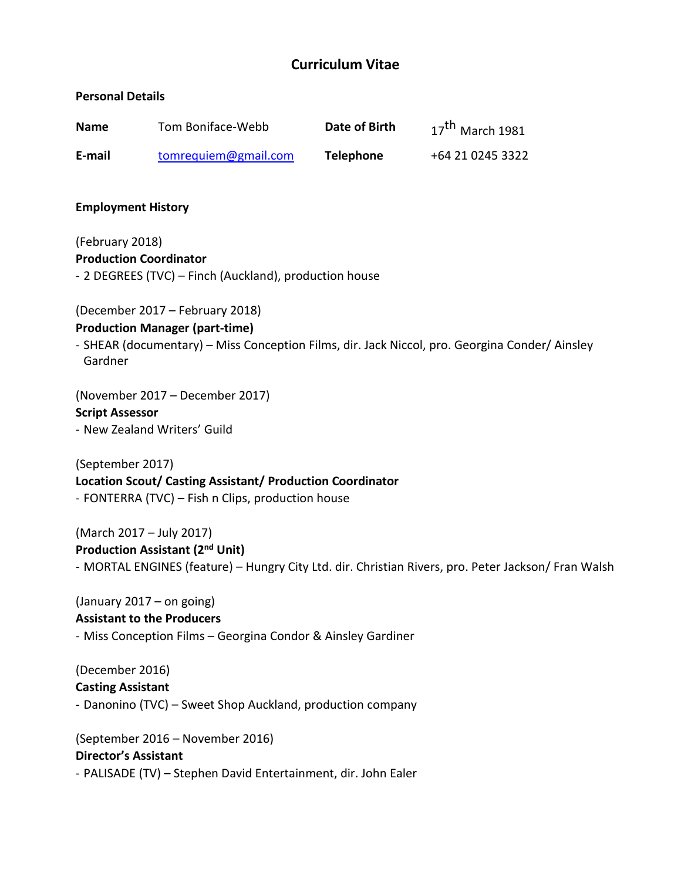# **Curriculum Vitae**

## **Personal Details**

| <b>Name</b> | Tom Boniface-Webb    | Date of Birth | $17th$ March 1981 |
|-------------|----------------------|---------------|-------------------|
| E-mail      | tomrequiem@gmail.com | Telephone     | +64 21 0245 3322  |

### **Employment History**

(February 2018) **Production Coordinator**

- 2 DEGREES (TVC) – Finch (Auckland), production house

(December 2017 – February 2018)

## **Production Manager (part-time)**

- SHEAR (documentary) – Miss Conception Films, dir. Jack Niccol, pro. Georgina Conder/ Ainsley Gardner

(November 2017 – December 2017) **Script Assessor** - New Zealand Writers' Guild

(September 2017) **Location Scout/ Casting Assistant/ Production Coordinator** - FONTERRA (TVC) – Fish n Clips, production house

(March 2017 – July 2017) **Production Assistant (2nd Unit)** - MORTAL ENGINES (feature) – Hungry City Ltd. dir. Christian Rivers, pro. Peter Jackson/ Fran Walsh

(January 2017 – on going) **Assistant to the Producers** - Miss Conception Films – Georgina Condor & Ainsley Gardiner

(December 2016) **Casting Assistant** - Danonino (TVC) – Sweet Shop Auckland, production company

(September 2016 – November 2016) **Director's Assistant** - PALISADE (TV) – Stephen David Entertainment, dir. John Ealer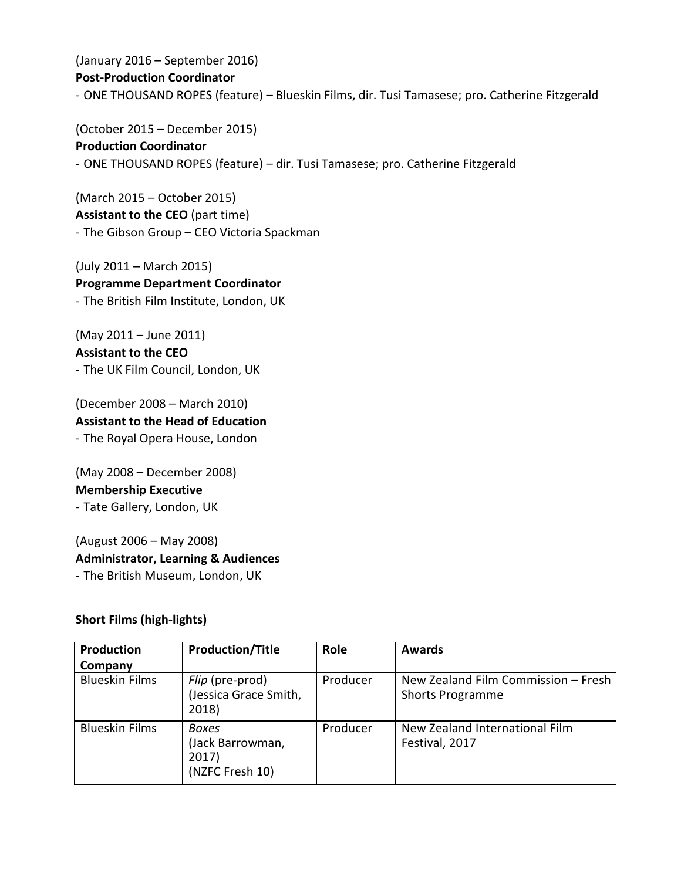(January 2016 – September 2016) **Post-Production Coordinator** - ONE THOUSAND ROPES (feature) – Blueskin Films, dir. Tusi Tamasese; pro. Catherine Fitzgerald

(October 2015 – December 2015) **Production Coordinator** - ONE THOUSAND ROPES (feature) – dir. Tusi Tamasese; pro. Catherine Fitzgerald

(March 2015 – October 2015) **Assistant to the CEO** (part time) - The Gibson Group – CEO Victoria Spackman

(July 2011 – March 2015) **Programme Department Coordinator** - The British Film Institute, London, UK

(May 2011 – June 2011) **Assistant to the CEO** - The UK Film Council, London, UK

(December 2008 – March 2010) **Assistant to the Head of Education** - The Royal Opera House, London

(May 2008 – December 2008) **Membership Executive** - Tate Gallery, London, UK

(August 2006 – May 2008) **Administrator, Learning & Audiences** - The British Museum, London, UK

# **Short Films (high-lights)**

| Production            | <b>Production/Title</b>                               | Role     | <b>Awards</b>                                                  |
|-----------------------|-------------------------------------------------------|----------|----------------------------------------------------------------|
| Company               |                                                       |          |                                                                |
| <b>Blueskin Films</b> | Flip (pre-prod)<br>(Jessica Grace Smith,<br>2018)     | Producer | New Zealand Film Commission - Fresh<br><b>Shorts Programme</b> |
| <b>Blueskin Films</b> | Boxes<br>(Jack Barrowman,<br>2017)<br>(NZFC Fresh 10) | Producer | New Zealand International Film<br>Festival, 2017               |